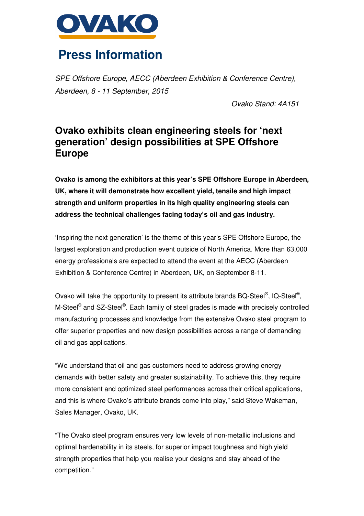

## **Press Information**

SPE Offshore Europe, AECC (Aberdeen Exhibition & Conference Centre), Aberdeen, 8 - 11 September, 2015

Ovako Stand: 4A151

## **Ovako exhibits clean engineering steels for 'next generation' design possibilities at SPE Offshore Europe**

**Ovako is among the exhibitors at this year's SPE Offshore Europe in Aberdeen, UK, where it will demonstrate how excellent yield, tensile and high impact strength and uniform properties in its high quality engineering steels can address the technical challenges facing today's oil and gas industry.** 

'Inspiring the next generation' is the theme of this year's SPE Offshore Europe, the largest exploration and production event outside of North America. More than 63,000 energy professionals are expected to attend the event at the AECC (Aberdeen Exhibition & Conference Centre) in Aberdeen, UK, on September 8-11.

Ovako will take the opportunity to present its attribute brands BQ-Steel®, IQ-Steel®, M-Steel® and SZ-Steel®. Each family of steel grades is made with precisely controlled manufacturing processes and knowledge from the extensive Ovako steel program to offer superior properties and new design possibilities across a range of demanding oil and gas applications.

"We understand that oil and gas customers need to address growing energy demands with better safety and greater sustainability. To achieve this, they require more consistent and optimized steel performances across their critical applications, and this is where Ovako's attribute brands come into play," said Steve Wakeman, Sales Manager, Ovako, UK.

"The Ovako steel program ensures very low levels of non-metallic inclusions and optimal hardenability in its steels, for superior impact toughness and high yield strength properties that help you realise your designs and stay ahead of the competition."